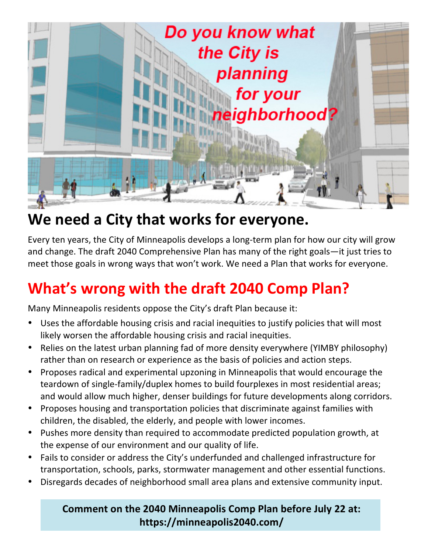

## We need a City that works for everyone.

Every ten years, the City of Minneapolis develops a long-term plan for how our city will grow and change. The draft 2040 Comprehensive Plan has many of the right goals—it just tries to meet those goals in wrong ways that won't work. We need a Plan that works for everyone.

# **What's wrong with the draft 2040 Comp Plan?**

Many Minneapolis residents oppose the City's draft Plan because it:

- Uses the affordable housing crisis and racial inequities to justify policies that will most likely worsen the affordable housing crisis and racial inequities.
- Relies on the latest urban planning fad of more density everywhere (YIMBY philosophy) rather than on research or experience as the basis of policies and action steps.
- Proposes radical and experimental upzoning in Minneapolis that would encourage the teardown of single-family/duplex homes to build fourplexes in most residential areas; and would allow much higher, denser buildings for future developments along corridors.
- Proposes housing and transportation policies that discriminate against families with children, the disabled, the elderly, and people with lower incomes.
- Pushes more density than required to accommodate predicted population growth, at the expense of our environment and our quality of life.
- Fails to consider or address the City's underfunded and challenged infrastructure for transportation, schools, parks, stormwater management and other essential functions.
- Disregards decades of neighborhood small area plans and extensive community input.

#### Comment on the 2040 Minneapolis Comp Plan before July 22 at: **https://minneapolis2040.com/**